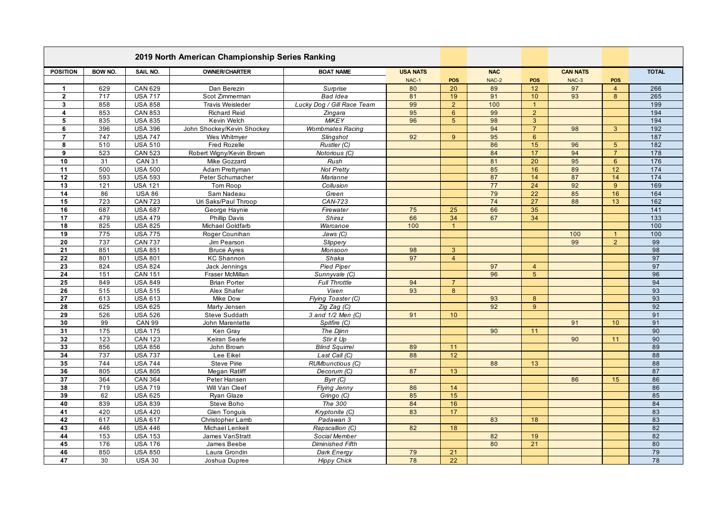| 2019 North American Championship Series Ranking |                |                                  |                            |                                              |                          |                 |                     |                 |                          |                |                  |
|-------------------------------------------------|----------------|----------------------------------|----------------------------|----------------------------------------------|--------------------------|-----------------|---------------------|-----------------|--------------------------|----------------|------------------|
| <b>POSITION</b>                                 | <b>BOW NO.</b> | SAIL NO.                         | <b>OWNER/CHARTER</b>       | <b>BOAT NAME</b>                             | <b>USA NATS</b><br>NAC-1 | POS             | <b>NAC</b><br>NAC-2 | <b>POS</b>      | <b>CAN NATS</b><br>NAC-3 | POS            | <b>TOTAL</b>     |
| $\mathbf{1}$                                    | 629            | <b>CAN 629</b>                   | Dan Berezin                | Surprise                                     | 80                       | 20              | 89                  | 12              | 97                       | $\overline{4}$ | 266              |
| $\overline{2}$                                  | 717            | <b>USA 717</b>                   | Scot Zimmerman             | Bad Idea                                     | 81                       | 19              | 91                  | 10              | 93                       | 8              | 265              |
| $\mathbf{3}$                                    | 858            | <b>USA 858</b>                   | Travis Weisleder           | Lucky Dog / Gill Race Team                   | 99                       | $\overline{2}$  | 100                 | $\overline{1}$  |                          |                | 199              |
| $\overline{4}$                                  | 853            | <b>CAN 853</b>                   | <b>Richard Reid</b>        | Zingara                                      | 95                       | 6               | 99                  | $\overline{2}$  |                          |                | 194              |
| $\sqrt{5}$                                      | 835            | <b>USA 835</b>                   | Kevin Welch                | <b>MiKEY</b>                                 | 96                       | 5               | 98                  | 3               |                          |                | 194              |
| 6                                               | 396            | <b>USA 396</b>                   | John Shockey/Kevin Shockey | <b>Wombmates Racing</b>                      |                          |                 | 94                  | $\overline{7}$  | 98                       | 3              | 192              |
| $\overline{7}$                                  | 747            | <b>USA 747</b>                   | Wes Whitmyer               | Slingshot                                    | 92                       | 9               | 95                  | $6\overline{6}$ |                          |                | 187              |
| 8                                               | 510            | <b>USA 510</b>                   | <b>Fred Rozelle</b>        | Rustler (C)                                  |                          |                 | 86                  | 15              | 96                       | 5 <sup>5</sup> | $\overline{182}$ |
| 9                                               | 523            | <b>CAN 523</b>                   | Robert Wigny/Kevin Brown   | Notorious (C)                                |                          |                 | 84                  | 17              | 94                       | $\overline{7}$ | 178              |
| 10                                              | 31             | <b>CAN 31</b>                    | Mike Gozzard               | Rush                                         |                          |                 | 81                  | 20              | 95                       | $6^{\circ}$    | 176              |
| 11                                              | 500            | <b>USA 500</b>                   | Adam Prettyman             | <b>Not Pretty</b>                            |                          |                 | 85                  | 16              | 89                       | 12             | 174              |
| 12                                              | 593            | <b>USA 593</b>                   | Peter Schumacher           | Marianne                                     |                          |                 | 87                  | 14              | 87                       | 14             | 174              |
| 13                                              | 121            | <b>USA 121</b>                   | Tom Roop                   | Collusion                                    |                          |                 | $\overline{77}$     | 24              | 92                       | $\overline{9}$ | 169              |
| 14                                              | 86             | <b>USA 86</b>                    | Sam Nadeau                 | Green                                        |                          |                 | 79                  | 22              | 85                       | 16             | 164              |
| 15                                              | 723            | <b>CAN 723</b>                   | Uri Saks/Paul Throop       | CAN-723                                      |                          |                 | 74                  | 27              | 88                       | 13             | 162              |
| 16                                              | 687            | <b>USA 687</b>                   | George Haynie              | Firewater                                    | 75                       | 25              | 66                  | 35              |                          |                | 141              |
| 17                                              | 479            | <b>USA 479</b>                   | <b>Phillip Davis</b>       | Shiraz                                       | 66                       | 34              | 67                  | 34              |                          |                | $\overline{133}$ |
| $\overline{18}$                                 | 825            | <b>USA 825</b>                   | Michael Goldfarb           | Warcanoe                                     | 100                      | $\mathbf{1}$    |                     |                 |                          |                | 100              |
| 19                                              | 775            | <b>USA 775</b>                   | Roger Counihan             | Jaws (C)                                     |                          |                 |                     |                 | 100                      | $\mathbf{1}$   | 100              |
| 20                                              | 737            | <b>CAN 737</b>                   | Jim Pearson                | Slippery                                     |                          |                 |                     |                 | 99                       | 2              | 99               |
| 21                                              | 851            | <b>USA 851</b>                   | <b>Bruce Ayres</b>         | Monsoon                                      | 98                       | 3               |                     |                 |                          |                | 98               |
| 22                                              | 801            | <b>USA 801</b>                   | <b>KC Shannon</b>          | Shaka                                        | 97                       | $\overline{4}$  |                     |                 |                          |                | 97               |
| $\overline{23}$                                 | 824            | <b>USA 824</b>                   | Jack Jennings              | <b>Pied Piper</b>                            |                          |                 | 97                  | $\overline{4}$  |                          |                | 97               |
| 24                                              | 151            | <b>CAN 151</b>                   | Fraser McMillan            | Sunnyvale (C)                                |                          |                 | 96                  | 5               |                          |                | 96               |
| 25                                              | 849            | <b>USA 849</b>                   | <b>Brian Porter</b>        | Full Throttle                                | 94                       | $\overline{7}$  |                     |                 |                          |                | 94               |
| 26                                              | 515            | <b>USA 515</b>                   | Alex Shafer                | Vixen                                        | 93                       | 8               |                     |                 |                          |                | 93               |
| 27                                              | 613            | <b>USA 613</b>                   | Mike Dow                   | Flying Toaster (C)                           |                          |                 | 93                  | 8               |                          |                | 93               |
| $\overline{28}$                                 | 625            | <b>USA 625</b>                   | Marty Jensen               | Zig Zag (C)                                  |                          |                 | 92                  | $9^{\circ}$     |                          |                | 92               |
| 29                                              | 526            | <b>USA 526</b>                   | Steve Suddath              | 3 and 1/2 Men (C)                            | 91                       | 10 <sup>°</sup> |                     |                 |                          |                | 91               |
| 30                                              | 99             | <b>CAN 99</b>                    | John Marentette            | Spitfire (C)                                 |                          |                 |                     |                 | 91                       | 10             | 91               |
| 31                                              | 175            | <b>USA 175</b>                   | Ken Gray                   | The Djinn                                    |                          |                 | 90                  | 11              |                          |                | 90<br>90         |
| 32                                              | 123<br>856     | <b>CAN 123</b>                   | Keiran Searle              | Stir it Up                                   |                          |                 |                     |                 | 90                       | 11             | 89               |
| 33<br>34                                        | 737            | <b>USA 856</b><br><b>USA 737</b> | John Brown<br>Lee Eikel    | <b>Blind Squirrel</b><br>Last Call (C)       | 89<br>88                 | 11<br>12        |                     |                 |                          |                | 88               |
| 35                                              | 744            | <b>USA 744</b>                   | <b>Steve Pirie</b>         | RUMbunctious (C)                             |                          |                 | 88                  | 13              |                          |                | 88               |
| 36                                              | 805            | <b>USA 805</b>                   | Megan Ratliff              | Decorum (C)                                  | 87                       | 13              |                     |                 |                          |                | 87               |
| 37                                              | 364            | <b>CAN 364</b>                   | Peter Hansen               | Byrr(C)                                      |                          |                 |                     |                 | 86                       | 15             | 86               |
| 38                                              | 719            | <b>USA 719</b>                   | Will Van Cleef             |                                              | 86                       | 14              |                     |                 |                          |                | 86               |
| 39                                              | 62             | <b>USA 625</b>                   | Ryan Glaze                 | <b>Flying Jenny</b><br>Gringo <sub>(C)</sub> | 85                       | 15              |                     |                 |                          |                | 85               |
| 40                                              | 839            | <b>USA 839</b>                   | Steve Boho                 | The 300                                      | 84                       | 16              |                     |                 |                          |                | 84               |
| 41                                              | 420            | <b>USA 420</b>                   | <b>Glen Tonguis</b>        | Kryptonite (C)                               | 83                       | 17              |                     |                 |                          |                | 83               |
| 42                                              | 617            | <b>USA 617</b>                   | Christopher Lamb           | Padawan 3                                    |                          |                 | 83                  | 18              |                          |                | 83               |
| 43                                              | 446            | <b>USA 446</b>                   | Michael Lenkeit            | Rapscallion (C)                              | 82                       | 18              |                     |                 |                          |                | 82               |
| 44                                              | 153            | <b>USA 153</b>                   | James VanStratt            | Social Member                                |                          |                 | 82                  | 19              |                          |                | 82               |
| 45                                              | 176            | <b>USA 176</b>                   | James Beebe                | Diminished Fifth                             |                          |                 | 80                  | 21              |                          |                | 80               |
| 46                                              | 850            | <b>USA 850</b>                   | Laura Grondin              | Dark Energy                                  | 79                       | 21              |                     |                 |                          |                | 79               |
| 47                                              | 30             | <b>USA 30</b>                    | Joshua Dupree              | <b>Hippy Chick</b>                           | 78                       | $\overline{22}$ |                     |                 |                          |                | 78               |
|                                                 |                |                                  |                            |                                              |                          |                 |                     |                 |                          |                |                  |